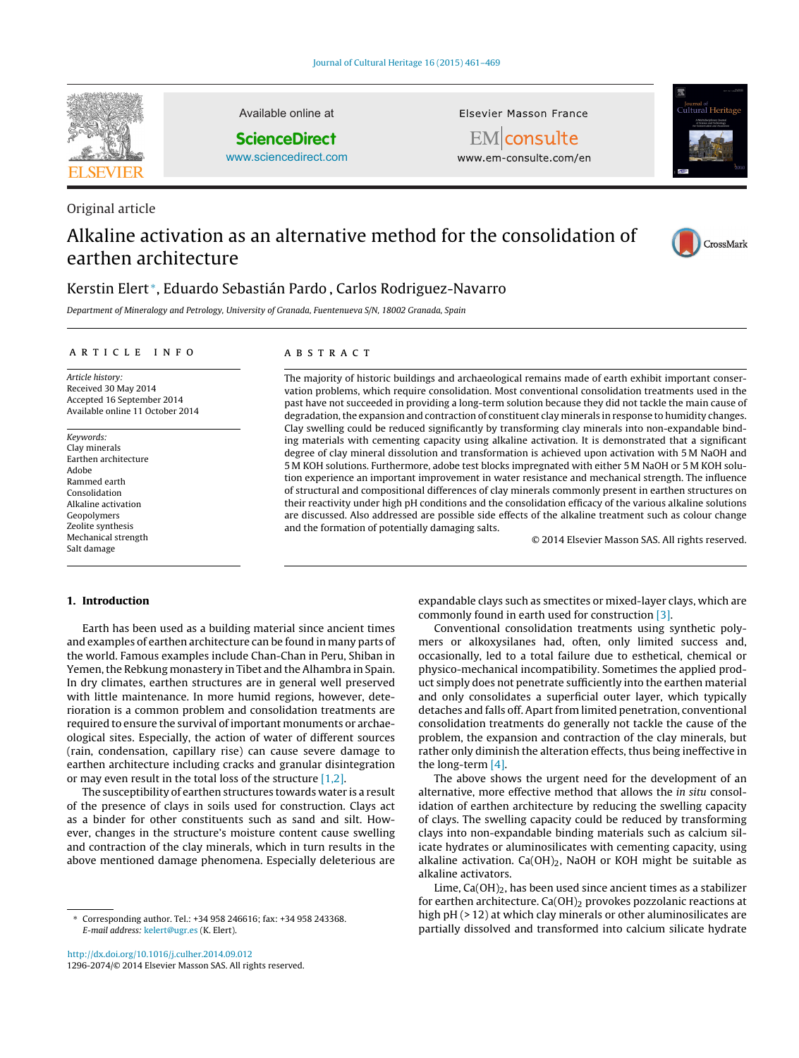

Original article

Available online at

### **ScienceDirect**

[www.sciencedirect.com](http://www.sciencedirect.com/science/journal/12962074)

Elsevier Masson France



EMconsulte www.em-consulte.com/en

# Alkaline activation as an alternative method for the consolidation of earthen architecture



## Kerstin Elert <sup>∗</sup>, Eduardo Sebastián Pardo , Carlos Rodriguez-Navarro

Department of Mineralogy and Petrology, University of Granada, Fuentenueva S/N, 18002 Granada, Spain

#### a r t i c l e i n f o

Article history: Received 30 May 2014 Accepted 16 September 2014 Available online 11 October 2014

Keywords: Clay minerals Earthen architecture Adobe Rammed earth Consolidation Alkaline activation Geopolymers Zeolite synthesis Mechanical strength Salt damage

### A B S T R A C T

The majority of historic buildings and archaeological remains made of earth exhibit important conservation problems, which require consolidation. Most conventional consolidation treatments used in the past have not succeeded in providing a long-term solution because they did not tackle the main cause of degradation, the expansion and contraction of constituent clay minerals in response to humidity changes. Clay swelling could be reduced significantly by transforming clay minerals into non-expandable binding materials with cementing capacity using alkaline activation. It is demonstrated that a significant degree of clay mineral dissolution and transformation is achieved upon activation with 5 M NaOH and 5 M KOH solutions. Furthermore, adobe test blocks impregnated with either 5 M NaOH or 5 M KOH solution experience an important improvement in water resistance and mechanical strength. The influence of structural and compositional differences of clay minerals commonly present in earthen structures on their reactivity under high pH conditions and the consolidation efficacy of the various alkaline solutions are discussed. Also addressed are possible side effects of the alkaline treatment such as colour change and the formation of potentially damaging salts.

© 2014 Elsevier Masson SAS. All rights reserved.

#### **1. Introduction**

Earth has been used as a building material since ancient times and examples of earthen architecture can be found in many parts of the world. Famous examples include Chan-Chan in Peru, Shiban in Yemen, the Rebkung monastery in Tibet and the Alhambra in Spain. In dry climates, earthen structures are in general well preserved with little maintenance. In more humid regions, however, deterioration is a common problem and consolidation treatments are required to ensure the survival of important monuments or archaeological sites. Especially, the action of water of different sources (rain, condensation, capillary rise) can cause severe damage to earthen architecture including cracks and granular disintegration or may even result in the total loss of the structure [\[1,2\].](#page--1-0)

The susceptibility of earthen structures towards water is a result of the presence of clays in soils used for construction. Clays act as a binder for other constituents such as sand and silt. However, changes in the structure's moisture content cause swelling and contraction of the clay minerals, which in turn results in the above mentioned damage phenomena. Especially deleterious are

expandable clays such as smectites or mixed-layer clays, which are commonly found in earth used for construction [\[3\].](#page--1-0)

Conventional consolidation treatments using synthetic polymers or alkoxysilanes had, often, only limited success and, occasionally, led to a total failure due to esthetical, chemical or physico-mechanical incompatibility. Sometimes the applied product simply does not penetrate sufficiently into the earthen material and only consolidates a superficial outer layer, which typically detaches and falls off. Apart from limited penetration, conventional consolidation treatments do generally not tackle the cause of the problem, the expansion and contraction of the clay minerals, but rather only diminish the alteration effects, thus being ineffective in the long-term [\[4\].](#page--1-0)

The above shows the urgent need for the development of an alternative, more effective method that allows the in situ consolidation of earthen architecture by reducing the swelling capacity of clays. The swelling capacity could be reduced by transforming clays into non-expandable binding materials such as calcium silicate hydrates or aluminosilicates with cementing capacity, using alkaline activation. Ca(OH) $_2$ , NaOH or KOH might be suitable as alkaline activators.

Lime,  $Ca(OH)_2$ , has been used since ancient times as a stabilizer for earthen architecture. Ca(OH)<sub>2</sub> provokes pozzolanic reactions at high pH ( $>$  12) at which clay minerals or other aluminosilicates are partially dissolved and transformed into calcium silicate hydrate

<sup>∗</sup> Corresponding author. Tel.: +34 958 246616; fax: +34 958 243368. E-mail address: [kelert@ugr.es](mailto:kelert@ugr.es) (K. Elert).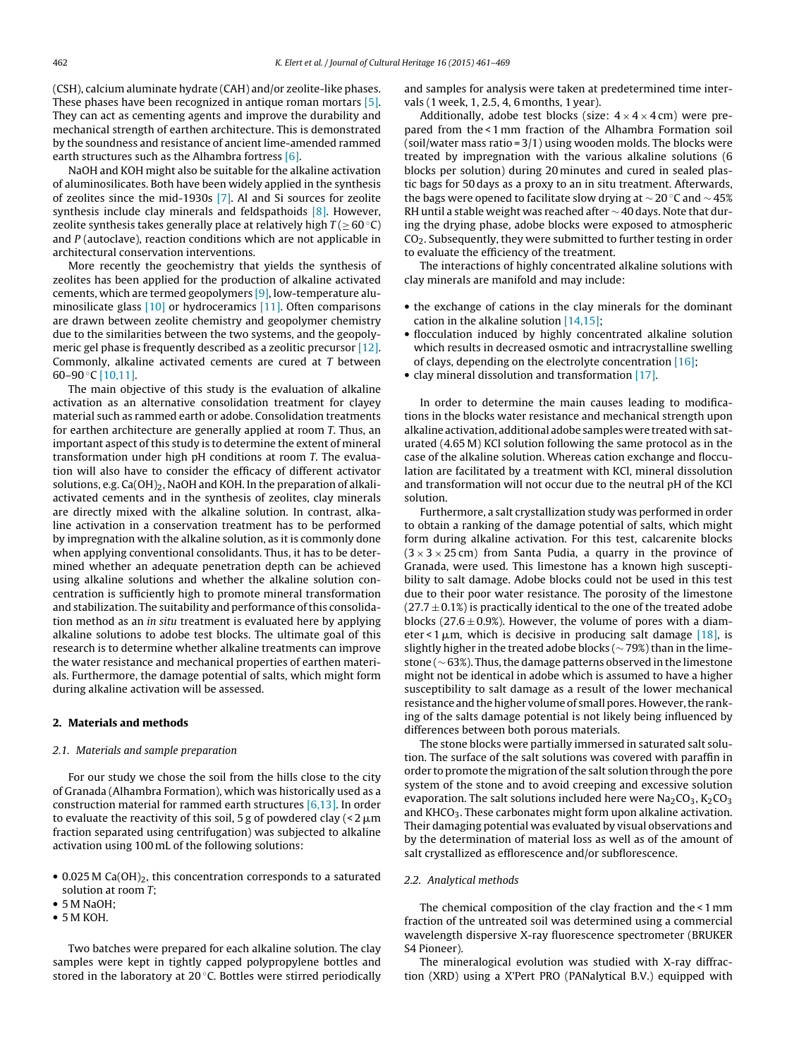(CSH), calcium aluminate hydrate (CAH) and/or zeolite-like phases. These phases have been recognized in antique roman mortars [\[5\].](#page--1-0) They can act as cementing agents and improve the durability and mechanical strength of earthen architecture. This is demonstrated by the soundness and resistance of ancient lime-amended rammed earth structures such as the Alhambra fortress [\[6\].](#page--1-0)

NaOH and KOH might also be suitable for the alkaline activation of aluminosilicates. Both have been widely applied in the synthesis of zeolites since the mid-1930s [\[7\].](#page--1-0) Al and Si sources for zeolite synthesis include clay minerals and feldspathoids [\[8\].](#page--1-0) However, zeolite synthesis takes generally place at relatively high  $T (\geq 60^{\circ}C)$ and  $P$  (autoclave), reaction conditions which are not applicable in architectural conservation interventions.

More recently the geochemistry that yields the synthesis of zeolites has been applied for the production of alkaline activated cements, which are termed geopolymers [\[9\],](#page--1-0) low-temperature aluminosilicate glass [\[10\]](#page--1-0) or hydroceramics [\[11\].](#page--1-0) Often comparisons are drawn between zeolite chemistry and geopolymer chemistry due to the similarities between the two systems, and the geopolymeric gel phase is frequently described as a zeolitic precursor [\[12\].](#page--1-0) Commonly, alkaline activated cements are cured at T between 60–90 ◦C [\[10,11\].](#page--1-0)

The main objective of this study is the evaluation of alkaline activation as an alternative consolidation treatment for clayey material such as rammed earth or adobe. Consolidation treatments for earthen architecture are generally applied at room T. Thus, an important aspect of this study is to determine the extent of mineral transformation under high pH conditions at room  $T$ . The evaluation will also have to consider the efficacy of different activator solutions, e.g.  $Ca(OH)_2$ , NaOH and KOH. In the preparation of alkaliactivated cements and in the synthesis of zeolites, clay minerals are directly mixed with the alkaline solution. In contrast, alkaline activation in a conservation treatment has to be performed by impregnation with the alkaline solution, as it is commonly done when applying conventional consolidants. Thus, it has to be determined whether an adequate penetration depth can be achieved using alkaline solutions and whether the alkaline solution concentration is sufficiently high to promote mineral transformation and stabilization. The suitability and performance of this consolidation method as an in situ treatment is evaluated here by applying alkaline solutions to adobe test blocks. The ultimate goal of this research is to determine whether alkaline treatments can improve the water resistance and mechanical properties of earthen materials. Furthermore, the damage potential of salts, which might form during alkaline activation will be assessed.

#### **2. Materials and methods**

#### 2.1. Materials and sample preparation

For our study we chose the soil from the hills close to the city of Granada (Alhambra Formation), which was historically used as a construction material for rammed earth structures [\[6,13\].](#page--1-0) In order to evaluate the reactivity of this soil, 5 g of powdered clay (<2  $\upmu$ m fraction separated using centrifugation) was subjected to alkaline activation using 100 mL of the following solutions:

- $\bullet$  0.025 M Ca(OH)<sub>2</sub>, this concentration corresponds to a saturated solution at room T;
- 5 M NaOH;
- $\bullet$  5 M KOH.

Two batches were prepared for each alkaline solution. The clay samples were kept in tightly capped polypropylene bottles and stored in the laboratory at  $20^{\circ}$ C. Bottles were stirred periodically and samples for analysis were taken at predetermined time intervals (1 week, 1, 2.5, 4, 6 months, 1 year).

Additionally, adobe test blocks (size:  $4 \times 4 \times 4$  cm) were prepared from the < 1 mm fraction of the Alhambra Formation soil (soil/water mass ratio =  $3/1$ ) using wooden molds. The blocks were treated by impregnation with the various alkaline solutions (6 blocks per solution) during 20 minutes and cured in sealed plastic bags for 50 days as a proxy to an in situ treatment. Afterwards, the bags were opened to facilitate slow drying at  $\sim$  20 °C and  $\sim$  45% RH until a stable weight was reached after ∼ 40 days. Note that during the drying phase, adobe blocks were exposed to atmospheric CO2. Subsequently, they were submitted to further testing in order to evaluate the efficiency of the treatment.

The interactions of highly concentrated alkaline solutions with clay minerals are manifold and may include:

- the exchange of cations in the clay minerals for the dominant cation in the alkaline solution [\[14,15\];](#page--1-0)
- flocculation induced by highly concentrated alkaline solution which results in decreased osmotic and intracrystalline swelling of clays, depending on the electrolyte concentration [\[16\];](#page--1-0)
- clay mineral dissolution and transformation [\[17\].](#page--1-0)

In order to determine the main causes leading to modifications in the blocks water resistance and mechanical strength upon alkaline activation, additional adobe samples were treated with saturated (4.65 M) KCl solution following the same protocol as in the case of the alkaline solution. Whereas cation exchange and flocculation are facilitated by a treatment with KCl, mineral dissolution and transformation will not occur due to the neutral pH of the KCl solution.

Furthermore, a salt crystallization study was performed in order to obtain a ranking of the damage potential of salts, which might form during alkaline activation. For this test, calcarenite blocks  $(3 \times 3 \times 25$  cm) from Santa Pudia, a quarry in the province of Granada, were used. This limestone has a known high susceptibility to salt damage. Adobe blocks could not be used in this test due to their poor water resistance. The porosity of the limestone  $(27.7 \pm 0.1\%)$  is practically identical to the one of the treated adobe blocks (27.6  $\pm$  0.9%). However, the volume of pores with a diameter < 1  $\mu$ m, which is decisive in producing salt damage [\[18\],](#page--1-0) is slightly higher in the treated adobe blocks ( $\sim$  79%) than in the limestone ( $\sim$  63%). Thus, the damage patterns observed in the limestone might not be identical in adobe which is assumed to have a higher susceptibility to salt damage as a result of the lower mechanical resistance and the higher volume of small pores. However, the ranking of the salts damage potential is not likely being influenced by differences between both porous materials.

The stone blocks were partially immersed in saturated salt solution. The surface of the salt solutions was covered with paraffin in order to promote the migration ofthe salt solution through the pore system of the stone and to avoid creeping and excessive solution evaporation. The salt solutions included here were  $Na<sub>2</sub>CO<sub>3</sub>$ , K<sub>2</sub>CO<sub>3</sub> and KHCO<sub>3</sub>. These carbonates might form upon alkaline activation. Their damaging potential was evaluated by visual observations and by the determination of material loss as well as of the amount of salt crystallized as efflorescence and/or subflorescence.

#### 2.2. Analytical methods

The chemical composition of the clay fraction and the < 1 mm fraction of the untreated soil was determined using a commercial wavelength dispersive X-ray fluorescence spectrometer (BRUKER S4 Pioneer).

The mineralogical evolution was studied with X-ray diffraction (XRD) using a X'Pert PRO (PANalytical B.V.) equipped with